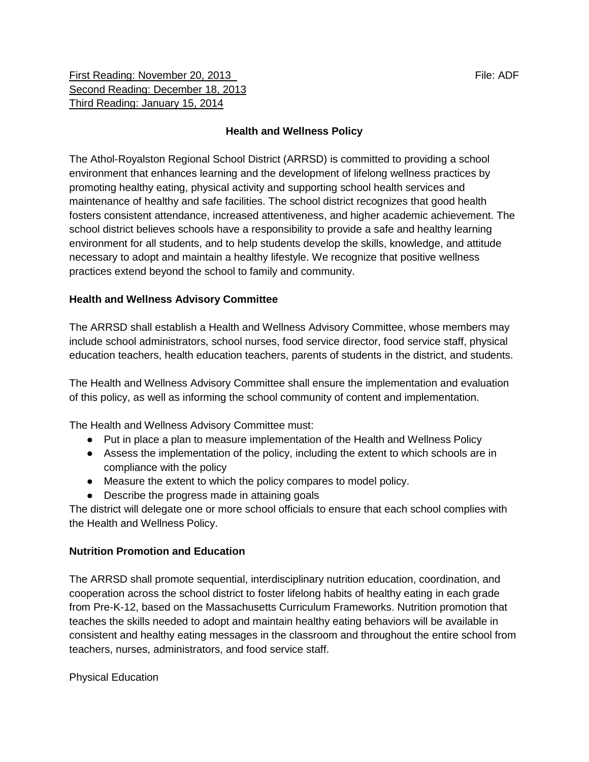First Reading: November 20, 2013 **File: ADF** File: ADF Second Reading: December 18, 2013 Third Reading: January 15, 2014

# **Health and Wellness Policy**

The Athol-Royalston Regional School District (ARRSD) is committed to providing a school environment that enhances learning and the development of lifelong wellness practices by promoting healthy eating, physical activity and supporting school health services and maintenance of healthy and safe facilities. The school district recognizes that good health fosters consistent attendance, increased attentiveness, and higher academic achievement. The school district believes schools have a responsibility to provide a safe and healthy learning environment for all students, and to help students develop the skills, knowledge, and attitude necessary to adopt and maintain a healthy lifestyle. We recognize that positive wellness practices extend beyond the school to family and community.

## **Health and Wellness Advisory Committee**

The ARRSD shall establish a Health and Wellness Advisory Committee, whose members may include school administrators, school nurses, food service director, food service staff, physical education teachers, health education teachers, parents of students in the district, and students.

The Health and Wellness Advisory Committee shall ensure the implementation and evaluation of this policy, as well as informing the school community of content and implementation.

The Health and Wellness Advisory Committee must:

- Put in place a plan to measure implementation of the Health and Wellness Policy
- Assess the implementation of the policy, including the extent to which schools are in compliance with the policy
- Measure the extent to which the policy compares to model policy.
- Describe the progress made in attaining goals

The district will delegate one or more school officials to ensure that each school complies with the Health and Wellness Policy.

#### **Nutrition Promotion and Education**

The ARRSD shall promote sequential, interdisciplinary nutrition education, coordination, and cooperation across the school district to foster lifelong habits of healthy eating in each grade from Pre-K-12, based on the Massachusetts Curriculum Frameworks. Nutrition promotion that teaches the skills needed to adopt and maintain healthy eating behaviors will be available in consistent and healthy eating messages in the classroom and throughout the entire school from teachers, nurses, administrators, and food service staff.

Physical Education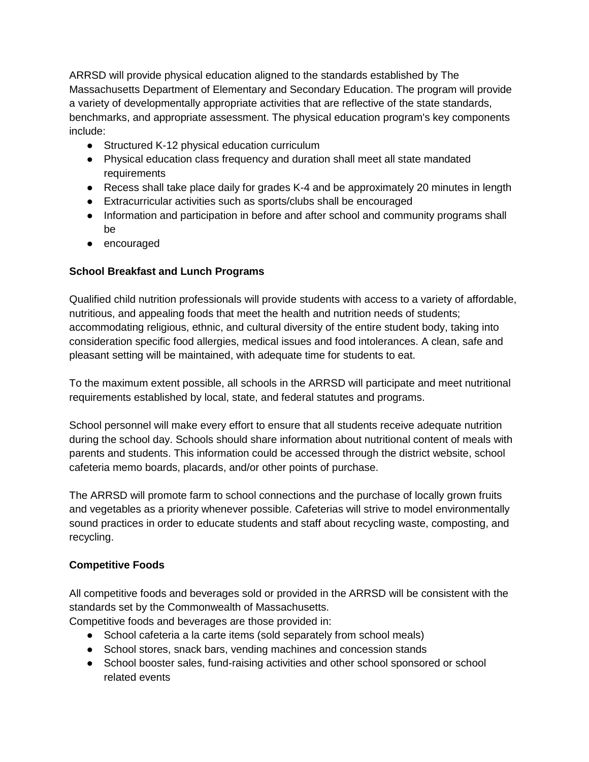ARRSD will provide physical education aligned to the standards established by The Massachusetts Department of Elementary and Secondary Education. The program will provide a variety of developmentally appropriate activities that are reflective of the state standards, benchmarks, and appropriate assessment. The physical education program's key components include:

- Structured K-12 physical education curriculum
- Physical education class frequency and duration shall meet all state mandated requirements
- Recess shall take place daily for grades K-4 and be approximately 20 minutes in length
- Extracurricular activities such as sports/clubs shall be encouraged
- Information and participation in before and after school and community programs shall be
- encouraged

## **School Breakfast and Lunch Programs**

Qualified child nutrition professionals will provide students with access to a variety of affordable, nutritious, and appealing foods that meet the health and nutrition needs of students; accommodating religious, ethnic, and cultural diversity of the entire student body, taking into consideration specific food allergies, medical issues and food intolerances. A clean, safe and pleasant setting will be maintained, with adequate time for students to eat.

To the maximum extent possible, all schools in the ARRSD will participate and meet nutritional requirements established by local, state, and federal statutes and programs.

School personnel will make every effort to ensure that all students receive adequate nutrition during the school day. Schools should share information about nutritional content of meals with parents and students. This information could be accessed through the district website, school cafeteria memo boards, placards, and/or other points of purchase.

The ARRSD will promote farm to school connections and the purchase of locally grown fruits and vegetables as a priority whenever possible. Cafeterias will strive to model environmentally sound practices in order to educate students and staff about recycling waste, composting, and recycling.

## **Competitive Foods**

All competitive foods and beverages sold or provided in the ARRSD will be consistent with the standards set by the Commonwealth of Massachusetts.

Competitive foods and beverages are those provided in:

- School cafeteria a la carte items (sold separately from school meals)
- School stores, snack bars, vending machines and concession stands
- School booster sales, fund-raising activities and other school sponsored or school related events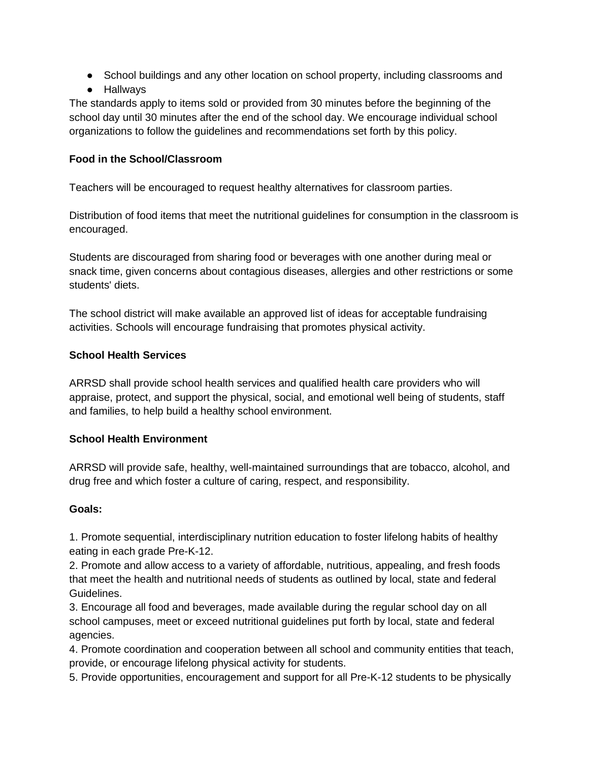- School buildings and any other location on school property, including classrooms and
- Hallways

The standards apply to items sold or provided from 30 minutes before the beginning of the school day until 30 minutes after the end of the school day. We encourage individual school organizations to follow the guidelines and recommendations set forth by this policy.

#### **Food in the School/Classroom**

Teachers will be encouraged to request healthy alternatives for classroom parties.

Distribution of food items that meet the nutritional guidelines for consumption in the classroom is encouraged.

Students are discouraged from sharing food or beverages with one another during meal or snack time, given concerns about contagious diseases, allergies and other restrictions or some students' diets.

The school district will make available an approved list of ideas for acceptable fundraising activities. Schools will encourage fundraising that promotes physical activity.

#### **School Health Services**

ARRSD shall provide school health services and qualified health care providers who will appraise, protect, and support the physical, social, and emotional well being of students, staff and families, to help build a healthy school environment.

## **School Health Environment**

ARRSD will provide safe, healthy, well-maintained surroundings that are tobacco, alcohol, and drug free and which foster a culture of caring, respect, and responsibility.

#### **Goals:**

1. Promote sequential, interdisciplinary nutrition education to foster lifelong habits of healthy eating in each grade Pre-K-12.

2. Promote and allow access to a variety of affordable, nutritious, appealing, and fresh foods that meet the health and nutritional needs of students as outlined by local, state and federal Guidelines.

3. Encourage all food and beverages, made available during the regular school day on all school campuses, meet or exceed nutritional guidelines put forth by local, state and federal agencies.

4. Promote coordination and cooperation between all school and community entities that teach, provide, or encourage lifelong physical activity for students.

5. Provide opportunities, encouragement and support for all Pre-K-12 students to be physically